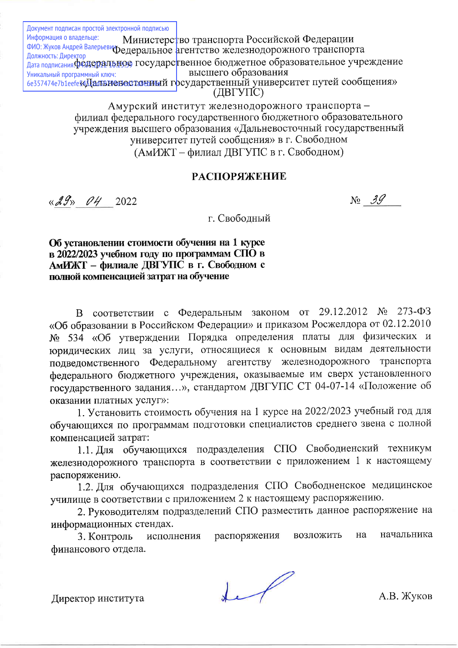Документ подписан простой электронной подписью Информация о владельце: Министерство транспорта Российской Федерации ФИО: Жуков Андрей Валерьевифедеральное агентство железнодорожного транспорта Должность: Директор Федеральное агентство железнодорожного транспорта высшего образования Уникальный программный ключ: 6е357474е7b1eefe «Алалын Февостонный государственный университет путей сообщения» (ДВГУПС)

> Амурский институт железнодорожного транспорта филиал федерального государственного бюджетного образовательного учреждения высшего образования «Дальневосточный государственный университет путей сообщения» в г. Свободном (АмИЖТ – филиал ДВГУПС в г. Свободном)

## **РАСПОРЯЖЕНИЕ**

 $\kappa$ 29» 04 2022

 $N_2$  39

г. Свободный

Об установлении стоимости обучения на 1 курсе в 2022/2023 учебном году по программам СПО в АМИЖТ - филиале ДВГУПС в г. Свободном с полной компенсацией затрат на обучение

В соответствии с Федеральным законом от 29.12.2012 № 273-ФЗ «Об образовании в Российском Федерации» и приказом Росжелдора от 02.12.2010 № 534 «Об утверждении Порядка определения платы для физических и юридических лиц за услуги, относящиеся к основным видам деятельности подведомственного Федеральному агентству железнодорожного транспорта федерального бюджетного учреждения, оказываемые им сверх установленного государственного задания...», стандартом ДВГУПС СТ 04-07-14 «Положение об оказании платных услуг»:

1. Установить стоимость обучения на 1 курсе на 2022/2023 учебный год для обучающихся по программам подготовки специалистов среднего звена с полной компенсацией затрат:

1.1. Для обучающихся подразделения СПО Свободненский техникум железнодорожного транспорта в соответствии с приложением 1 к настоящему распоряжению.

1.2. Для обучающихся подразделения СПО Свободненское медицинское училище в соответствии с приложением 2 к настоящему распоряжению.

2. Руководителям подразделений СПО разместить данное распоряжение на информационных стендах.

начальника возложить на 3. Контроль исполнения распоряжения финансового отдела.

 $\begin{matrix} \downarrow \end{matrix}$ 

Директор института

А.В. Жуков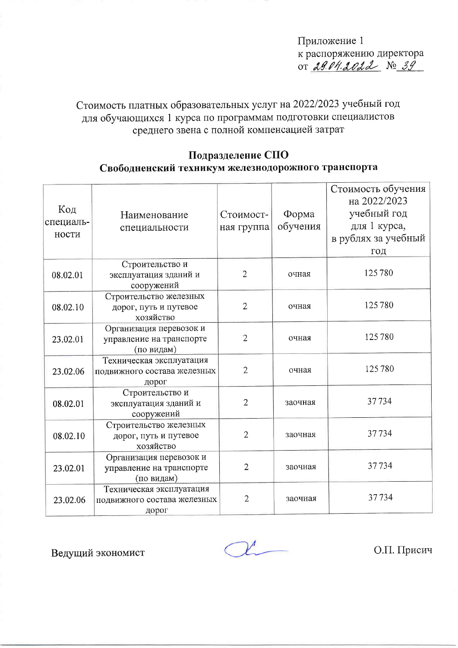Приложение 1 к распоряжению директора OT 2904.2022 No 39

Стоимость платных образовательных услуг на 2022/2023 учебный год для обучающихся 1 курса по программам подготовки специалистов среднего звена с полной компенсацией затрат

## Подразделение СПО Свободненский техникум железнодорожного транспорта

| Код<br>специаль-<br>ности | Наименование<br>специальности                                     | Стоимост-<br>ная группа | Форма<br>обучения | Стоимость обучения<br>на 2022/2023<br>учебный год<br>для 1 курса,<br>в рублях за учебный<br>ГОД |
|---------------------------|-------------------------------------------------------------------|-------------------------|-------------------|-------------------------------------------------------------------------------------------------|
| 08.02.01                  | Строительство и<br>эксплуатация зданий и<br>сооружений            | $\overline{2}$          | очная             | 125780                                                                                          |
| 08.02.10                  | Строительство железных<br>дорог, путь и путевое<br>хозяйство      | $\overline{2}$          | очная             | 125780                                                                                          |
| 23.02.01                  | Организация перевозок и<br>управление на транспорте<br>(по видам) | $\overline{2}$          | очная             | 125780                                                                                          |
| 23.02.06                  | Техническая эксплуатация<br>подвижного состава железных<br>дорог  | $\overline{2}$          | очная             | 125780                                                                                          |
| 08.02.01                  | Строительство и<br>эксплуатация зданий и<br>сооружений            | $\overline{2}$          | заочная           | 37734                                                                                           |
| 08.02.10                  | Строительство железных<br>дорог, путь и путевое<br>хозяйство      | $\overline{2}$          | заочная           | 37734                                                                                           |
| 23.02.01                  | Организация перевозок и<br>управление на транспорте<br>(по видам) | $\overline{2}$          | заочная           | 37734                                                                                           |
| 23.02.06                  | Техническая эксплуатация<br>подвижного состава железных<br>дорог  | $\overline{2}$          | заочная           | 37734                                                                                           |

Ведущий экономист

О.П. Присич